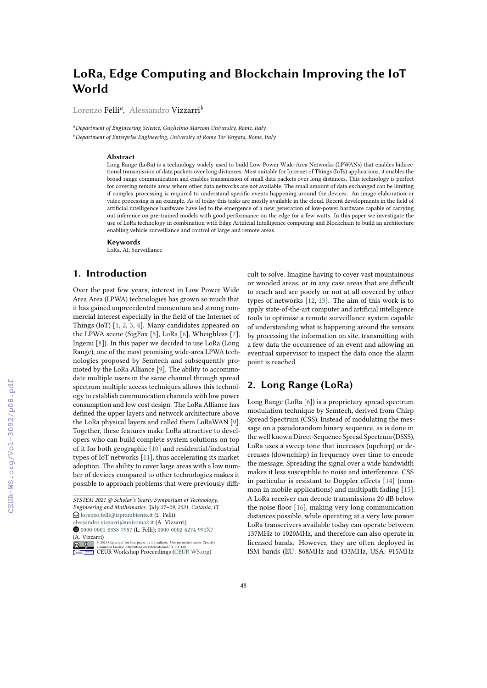# **LoRa, Edge Computing and Blockchain Improving the IoT World**

Lorenzo Felli*<sup>a</sup>* , Alessandro Vizzarri*<sup>b</sup>*

*<sup>a</sup>Department of Engineering Science, Guglielmo Marconi University, Rome, Italy <sup>b</sup>Department of Enterprise Engineering, University of Rome Tor Vergata, Rome, Italy*

#### **Abstract**

Long Range (LoRa) is a technology widely used to build Low-Power Wide-Area Networks (LPWANs) that enables bidirectional transmission of data packets over long distances. Most suitable for Internet of Things (IoTs) applications, it enables the broad-range communication and enables transmission of small data packets over long distances. This technology is perfect for covering remote areas where other data networks are not available. The small amount of data exchanged can be limiting if complex processing is required to understand specific events happening around the devices. An image elaboration or video processing is an example. As of today this tasks are mostly available in the cloud. Recent developments in the field of artificial intelligence hardware have led to the emergence of a new generation of low-power hardware capable of carrying out inference on pre-trained models with good performance on the edge for a few watts. In this paper we investigate the use of LoRa technology in combination with Edge Artificial Intelligence computing and Blockchain to build an architecture enabling vehicle surveillance and control of large and remote areas.

**Keywords**

LoRa, AI, Surveillance

# **1. Introduction**

Over the past few years, interest in Low Power Wide Area Area (LPWA) technologies has grown so much that it has gained unprecedented momentum and strong commercial interest especially in the field of the Internet of Things (IoT) [\[1,](#page--1-0) [2,](#page--1-1) [3,](#page--1-2) [4\]](#page--1-3). Many candidates appeared on the LPWA scene (SigFox [\[5\]](#page--1-4), LoRa [\[6\]](#page--1-5), Wheighless [\[7\]](#page--1-6), Ingenu [\[8\]](#page--1-7)). In this paper we decided to use LoRa (Long Range), one of the most promising wide-area LPWA technologies proposed by Semtech and subsequently promoted by the LoRa Alliance [\[9\]](#page--1-8). The ability to accommodate multiple users in the same channel through spread spectrum multiple access techniques allows this technology to establish communication channels with low power consumption and low cost design. The LoRa Alliance has defined the upper layers and network architecture above the LoRa physical layers and called them LoRaWAN [\[9\]](#page--1-8). Together, these features make LoRa attractive to developers who can build complete system solutions on top of it for both geographic [\[10\]](#page--1-9) and residential/industrial types of IoT networks [\[11\]](#page--1-10), thus accelerating its market adoption. The ability to cover large areas with a low number of devices compared to other technologies makes it possible to approach problems that were previously difficult to solve. Imagine having to cover vast mountainous or wooded areas, or in any case areas that are difficult to reach and are poorly or not at all covered by other types of networks [\[12,](#page--1-11) [13\]](#page--1-12). The aim of this work is to apply state-of-the-art computer and artificial intelligence tools to optimise a remote surveillance system capable of understanding what is happening around the sensors by processing the information on site, transmitting with a few data the occurrence of an event and allowing an eventual supervisor to inspect the data once the alarm point is reached.

# **2. Long Range (LoRa)**

Long Range (LoRa [\[6\]](#page--1-5)) is a proprietary spread spectrum modulation technique by Semtech, derived from Chirp Spread Spectrum (CSS). Instead of modulating the message on a pseudorandom binary sequence, as is done in the well known Direct-Sequence Spread Spectrum (DSSS), LoRa uses a sweep tone that increases (upchirp) or decreases (downchirp) in frequency over time to encode the message. Spreading the signal over a wide bandwidth makes it less susceptible to noise and interference. CSS in particular is resistant to Doppler effects [\[14\]](#page--1-13) (common in mobile applications) and multipath fading [\[15\]](#page--1-14). A LoRa receiver can decode transmissions 20 dB below the noise floor [\[16\]](#page--1-15), making very long communication distances possible, while operating at a very low power. LoRa transceivers available today can operate between 137MHz to 1020MHz, and therefore can also operate in licensed bands. However, they are often deployed in ISM bands (EU: 868MHz and 433MHz, USA: 915MHz

*SYSTEM 2021 @ Scholar's Yearly Symposium of Technology, Engineering and Mathematics. July 27–29, 2021, Catania, IT*  $\bigcirc$  [lorenzo.felli@isprambiente.it](mailto:lorenzo.felli@isprambiente.it) (L. Felli);

[alessandro.vizzarri@uniroma2.it](mailto:alessandro.vizzarri@uniroma2.it) (A. Vizzarri)

[0000-0001-8338-7957](https://orcid.org/0000-0001-8338-7957) (L. Felli); [0000-0002-6274-991X7](https://orcid.org/0000-0002-6274-991X7) (A. Vizzarri)

**D** 2 2021 Commons License Attribution 4.0 International (CC BY 4.0).<br>
COMMONS License Attribution 4.0 International (CC BY 4.0).<br> [CEUR](https://creativecommons.org/licenses/by/4.0) Workshop [Proceedings](http://ceur-ws.org) [\(CEUR-WS.org\)](http://ceur-ws.org)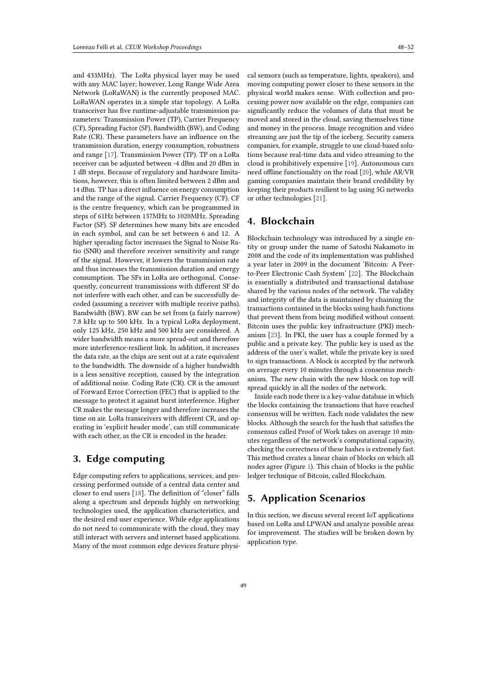and 433MHz). The LoRa physical layer may be used with any MAC layer; however, Long Range Wide Area Network (LoRaWAN) is the currently proposed MAC. LoRaWAN operates in a simple star topology. A LoRa transceiver has five runtime-adjustable transmission parameters: Transmission Power (TP), Carrier Frequency (CF), Spreading Factor (SF), Bandwidth (BW), and Coding Rate (CR). These parameters have an influence on the transmission duration, energy consumption, robustness and range [\[17\]](#page-4-0). Transmission Power (TP). TP on a LoRa receiver can be adjusted between -4 dBm and 20 dBm in 1 dB steps. Because of regulatory and hardware limitations, however, this is often limited between 2 dBm and 14 dBm. TP has a direct influence on energy consumption and the range of the signal. Carrier Frequency (CF). CF is the centre frequency, which can be programmed in steps of 61Hz between 137MHz to 1020MHz. Spreading Factor (SF). SF determines how many bits are encoded in each symbol, and can be set between 6 and 12. A higher spreading factor increases the Signal to Noise Ratio (SNR) and therefore receiver sensitivity and range of the signal. However, it lowers the transmission rate and thus increases the transmission duration and energy consumption. The SFs in LoRa are orthogonal. Consequently, concurrent transmissions with different SF do not interfere with each other, and can be successfully decoded (assuming a receiver with multiple receive paths). Bandwidth (BW). BW can be set from (a fairly narrow) 7.8 kHz up to 500 kHz. In a typical LoRa deployment, only 125 kHz, 250 kHz and 500 kHz are considered. A wider bandwidth means a more spread-out and therefore more interference-resilient link. In addition, it increases the data rate, as the chips are sent out at a rate equivalent to the bandwidth. The downside of a higher bandwidth is a less sensitive reception, caused by the integration of additional noise. Coding Rate (CR). CR is the amount of Forward Error Correction (FEC) that is applied to the message to protect it against burst interference. Higher CR makes the message longer and therefore increases the time on air. LoRa transceivers with different CR, and operating in 'explicit header mode', can still communicate with each other, as the CR is encoded in the header.

# **3. Edge computing**

Edge computing refers to applications, services, and processing performed outside of a central data center and closer to end users [\[18\]](#page-4-1). The definition of "closer" falls along a spectrum and depends highly on networking technologies used, the application characteristics, and the desired end user experience. While edge applications do not need to communicate with the cloud, they may still interact with servers and internet based applications. Many of the most common edge devices feature physical sensors (such as temperature, lights, speakers), and moving computing power closer to these sensors in the physical world makes sense. With collection and processing power now available on the edge, companies can significantly reduce the volumes of data that must be moved and stored in the cloud, saving themselves time and money in the process. Image recognition and video streaming are just the tip of the iceberg. Security camera companies, for example, struggle to use cloud-based solutions because real-time data and video streaming to the cloud is prohibitively expensive [\[19\]](#page-4-2). Autonomous cars need offline functionality on the road [\[20\]](#page-4-3), while AR/VR gaming companies maintain their brand credibility by keeping their products resilient to lag using 5G networks or other technologies [\[21\]](#page-4-4).

# **4. Blockchain**

Blockchain technology was introduced by a single entity or group under the name of Satoshi Nakamoto in 2008 and the code of its implementation was published a year later in 2009 in the document 'Bitcoin: A Peerto-Peer Electronic Cash System' [\[22\]](#page-4-5). The Blockchain is essentially a distributed and transactional database shared by the various nodes of the network. The validity and integrity of the data is maintained by chaining the transactions contained in the blocks using hash functions that prevent them from being modified without consent. Bitcoin uses the public key infrastructure (PKI) mechanism [\[23\]](#page-4-6). In PKI, the user has a couple formed by a public and a private key. The public key is used as the address of the user's wallet, while the private key is used to sign transactions. A block is accepted by the network on average every 10 minutes through a consensus mechanism. The new chain with the new block on top will spread quickly in all the nodes of the network.

Inside each node there is a key-value database in which the blocks containing the transactions that have reached consensus will be written. Each node validates the new blocks. Although the search for the hash that satisfies the consensus called Proof of Work takes on average 10 minutes regardless of the network's computational capacity, checking the correctness of these hashes is extremely fast. This method creates a linear chain of blocks on which all nodes agree (Figure [1\)](#page-2-0). This chain of blocks is the public ledger technique of Bitcoin, called Blockchain.

# **5. Application Scenarios**

In this section, we discuss several recent IoT applications based on LoRa and LPWAN and analyze possible areas for improvement. The studies will be broken down by application type.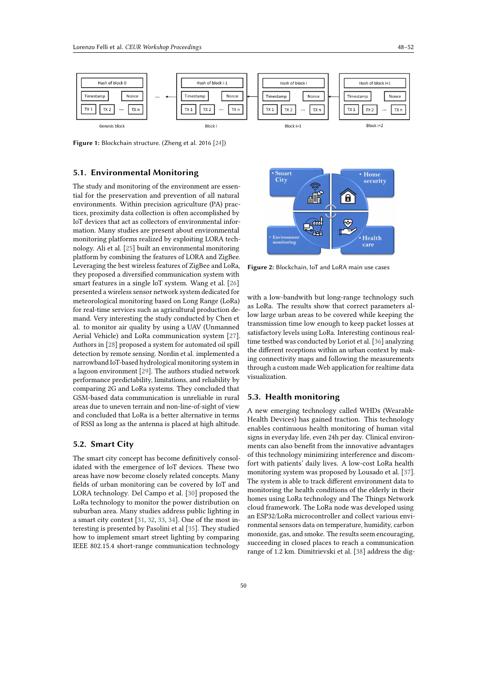

<span id="page-2-0"></span>**Figure 1:** Blockchain structure. (Zheng et al. 2016 [\[24\]](#page-4-7))

#### **5.1. Environmental Monitoring**

The study and monitoring of the environment are essential for the preservation and prevention of all natural environments. Within precision agriculture (PA) practices, proximity data collection is often accomplished by IoT devices that act as collectors of environmental information. Many studies are present about environmental monitoring platforms realized by exploiting LORA technology. Ali et al. [\[25\]](#page-4-8) built an environmental monitoring platform by combining the features of LORA and ZigBee. Leveraging the best wireless features of ZigBee and LoRa, they proposed a diversified communication system with smart features in a single loT system. Wang et al. [\[26\]](#page-4-9) presented a wireless sensor network system dedicated for meteorological monitoring based on Long Range (LoRa) for real-time services such as agricultural production demand. Very interesting the study conducted by Chen et al. to monitor air quality by using a UAV (Unmanned Aerial Vehicle) and LoRa communication system [\[27\]](#page-4-10). Authors in [\[28\]](#page-4-11) proposed a system for automated oil spill detection by remote sensing. Nordin et al. implemented a narrowband IoT-based hydrological monitoring system in a lagoon environment [\[29\]](#page-4-12). The authors studied network performance predictability, limitations, and reliability by comparing 2G and LoRa systems. They concluded that GSM-based data communication is unreliable in rural areas due to uneven terrain and non-line-of-sight of view and concluded that LoRa is a better alternative in terms of RSSI as long as the antenna is placed at high altitude.

#### **5.2. Smart City**

The smart city concept has become definitively consolidated with the emergence of IoT devices. These two areas have now become closely related concepts. Many fields of urban monitoring can be covered by IoT and LORA technology. Del Campo et al. [\[30\]](#page-4-13) proposed the LoRa technology to monitor the power distribution on suburban area. Many studies address public lighting in a smart city context [\[31,](#page-4-14) [32,](#page-4-15) [33,](#page-4-16) [34\]](#page-4-17). One of the most interesting is presented by Pasolini et al [\[35\]](#page-4-18). They studied how to implement smart street lighting by comparing IEEE 802.15.4 short-range communication technology



**Figure 2:** Blockchain, IoT and LoRA main use cases

with a low-bandwith but long-range technology such as LoRa. The results show that correct parameters allow large urban areas to be covered while keeping the transmission time low enough to keep packet losses at satisfactory levels using LoRa. Interesting continous realtime testbed was conducted by Loriot et al. [\[36\]](#page-4-19) analyzing the different receptions within an urban context by making connectivity maps and following the measurements through a custom made Web application for realtime data visualization.

# **5.3. Health monitoring**

A new emerging technology called WHDs (Wearable Health Devices) has gained traction. This technology enables continuous health monitoring of human vital signs in everyday life, even 24h per day. Clinical environments can also benefit from the innovative advantages of this technology minimizing interference and discomfort with patients' daily lives. A low-cost LoRa health monitoring system was proposed by Lousado et al. [\[37\]](#page-4-20). The system is able to track different environment data to monitoring the health conditions of the elderly in their homes using LoRa technology and The Things Network cloud framework. The LoRa node was developed using an ESP32/LoRa microcontroller and collect various environmental sensors data on temperature, humidity, carbon monoxide, gas, and smoke. The results seem encouraging, succeeding in closed places to reach a communication range of 1.2 km. Dimitrievski et al. [\[38\]](#page-4-21) address the dig-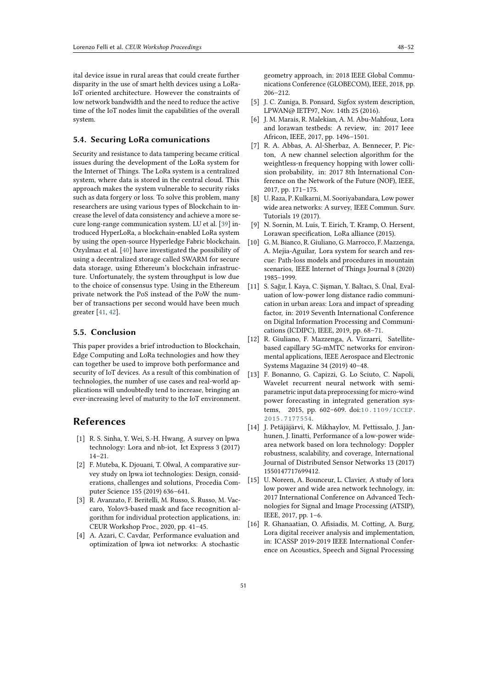ital device issue in rural areas that could create further disparity in the use of smart helth devices using a LoRa-IoT oriented architecture. However the constraints of low network bandwidth and the need to reduce the active time of the IoT nodes limit the capabilities of the overall system.

#### **5.4. Securing LoRa comunications**

Security and resistance to data tampering became critical issues during the development of the LoRa system for the Internet of Things. The LoRa system is a centralized system, where data is stored in the central cloud. This approach makes the system vulnerable to security risks such as data forgery or loss. To solve this problem, many researchers are using various types of Blockchain to increase the level of data consistency and achieve a more secure long-range communication system. LU et al. [\[39\]](#page-4-22) introduced HyperLoRa, a blockchain-enabled LoRa system by using the open-source Hyperledge Fabric blockchain. Ozyılmaz et al. [\[40\]](#page-4-23) have investigated the possibility of using a decentralized storage called SWARM for secure data storage, using Ethereum's blockchain infrastructure. Unfortunately, the system throughput is low due to the choice of consensus type. Using in the Ethereum private network the PoS instead of the PoW the number of transactions per second would have been much greater [\[41,](#page-4-24) [42\]](#page-4-25).

#### **5.5. Conclusion**

This paper provides a brief introduction to Blockchain, Edge Computing and LoRa technologies and how they can together be used to improve both performance and security of IoT devices. As a result of this combination of technologies, the number of use cases and real-world applications will undoubtedly tend to increase, bringing an ever-increasing level of maturity to the IoT environment.

### **References**

- [1] R. S. Sinha, Y. Wei, S.-H. Hwang, A survey on lpwa technology: Lora and nb-iot, Ict Express 3 (2017) 14–21.
- [2] F. Muteba, K. Djouani, T. Olwal, A comparative survey study on lpwa iot technologies: Design, considerations, challenges and solutions, Procedia Computer Science 155 (2019) 636–641.
- [3] R. Avanzato, F. Beritelli, M. Russo, S. Russo, M. Vaccaro, Yolov3-based mask and face recognition algorithm for individual protection applications, in: CEUR Workshop Proc., 2020, pp. 41–45.
- [4] A. Azari, C. Cavdar, Performance evaluation and optimization of lpwa iot networks: A stochastic

geometry approach, in: 2018 IEEE Global Communications Conference (GLOBECOM), IEEE, 2018, pp. 206–212.

- [5] J. C. Zuniga, B. Ponsard, Sigfox system description, LPWAN@ IETF97, Nov. 14th 25 (2016).
- [6] J. M. Marais, R. Malekian, A. M. Abu-Mahfouz, Lora and lorawan testbeds: A review, in: 2017 Ieee Africon, IEEE, 2017, pp. 1496–1501.
- [7] R. A. Abbas, A. Al-Sherbaz, A. Bennecer, P. Picton, A new channel selection algorithm for the weightless-n frequency hopping with lower collision probability, in: 2017 8th International Conference on the Network of the Future (NOF), IEEE, 2017, pp. 171–175.
- [8] U. Raza, P. Kulkarni, M. Sooriyabandara, Low power wide area networks: A survey, IEEE Commun. Surv. Tutorials 19 (2017).
- [9] N. Sornin, M. Luis, T. Eirich, T. Kramp, O. Hersent, Lorawan specification, LoRa alliance (2015).
- [10] G. M. Bianco, R. Giuliano, G. Marrocco, F. Mazzenga, A. Mejia-Aguilar, Lora system for search and rescue: Path-loss models and procedures in mountain scenarios, IEEE Internet of Things Journal 8 (2020) 1985–1999.
- [11] S. Sağır, İ. Kaya, C. Şişman, Y. Baltacı, S. Ünal, Evaluation of low-power long distance radio communication in urban areas: Lora and impact of spreading factor, in: 2019 Seventh International Conference on Digital Information Processing and Communications (ICDIPC), IEEE, 2019, pp. 68–71.
- [12] R. Giuliano, F. Mazzenga, A. Vizzarri, Satellitebased capillary 5G-mMTC networks for environmental applications, IEEE Aerospace and Electronic Systems Magazine 34 (2019) 40–48.
- [13] F. Bonanno, G. Capizzi, G. Lo Sciuto, C. Napoli, Wavelet recurrent neural network with semiparametric input data preprocessing for micro-wind power forecasting in integrated generation systems, 2015, pp. 602–609. doi:[10.1109/ICCEP.](http://dx.doi.org/10.1109/ICCEP.2015.7177554) [2015.7177554](http://dx.doi.org/10.1109/ICCEP.2015.7177554).
- [14] J. Petäjäjärvi, K. Mikhaylov, M. Pettissalo, J. Janhunen, J. Iinatti, Performance of a low-power widearea network based on lora technology: Doppler robustness, scalability, and coverage, International Journal of Distributed Sensor Networks 13 (2017) 1550147717699412.
- [15] U. Noreen, A. Bounceur, L. Clavier, A study of lora low power and wide area network technology, in: 2017 International Conference on Advanced Technologies for Signal and Image Processing (ATSIP), IEEE, 2017, pp. 1–6.
- [16] R. Ghanaatian, O. Afisiadis, M. Cotting, A. Burg, Lora digital receiver analysis and implementation, in: ICASSP 2019-2019 IEEE International Conference on Acoustics, Speech and Signal Processing